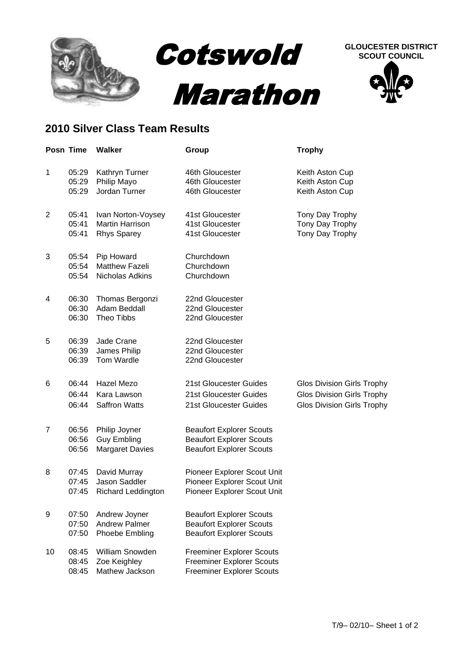

## **GLOUCESTER DISTRICT SCOUT COUNCIL**



## **2010 Silver Class Team Results**

|                | Posn Time               | <b>Walker</b>                                                      | Group                                                                                                    | <b>Trophy</b>                                                                                               |
|----------------|-------------------------|--------------------------------------------------------------------|----------------------------------------------------------------------------------------------------------|-------------------------------------------------------------------------------------------------------------|
| 1              | 05:29<br>05:29<br>05:29 | Kathryn Turner<br>Philip Mayo<br>Jordan Turner                     | 46th Gloucester<br>46th Gloucester<br>46th Gloucester                                                    | Keith Aston Cup<br>Keith Aston Cup<br>Keith Aston Cup                                                       |
| $\overline{2}$ | 05:41<br>05:41<br>05:41 | Ivan Norton-Voysey<br><b>Martin Harrison</b><br><b>Rhys Sparey</b> | 41st Gloucester<br>41st Gloucester<br>41st Gloucester                                                    | Tony Day Trophy<br>Tony Day Trophy<br>Tony Day Trophy                                                       |
| 3              | 05:54<br>05:54<br>05:54 | Pip Howard<br><b>Matthew Fazeli</b><br>Nicholas Adkins             | Churchdown<br>Churchdown<br>Churchdown                                                                   |                                                                                                             |
| 4              | 06:30<br>06:30<br>06:30 | Thomas Bergonzi<br>Adam Beddall<br>Theo Tibbs                      | 22nd Gloucester<br>22nd Gloucester<br>22nd Gloucester                                                    |                                                                                                             |
| 5              | 06:39<br>06:39<br>06:39 | Jade Crane<br>James Philip<br>Tom Wardle                           | 22nd Gloucester<br>22nd Gloucester<br>22nd Gloucester                                                    |                                                                                                             |
| 6              | 06:44<br>06:44<br>06:44 | Hazel Mezo<br>Kara Lawson<br><b>Saffron Watts</b>                  | 21st Gloucester Guides<br>21st Gloucester Guides<br>21st Gloucester Guides                               | <b>Glos Division Girls Trophy</b><br><b>Glos Division Girls Trophy</b><br><b>Glos Division Girls Trophy</b> |
| $\overline{7}$ | 06:56<br>06:56<br>06:56 | Philip Joyner<br><b>Guy Embling</b><br><b>Margaret Davies</b>      | <b>Beaufort Explorer Scouts</b><br><b>Beaufort Explorer Scouts</b><br><b>Beaufort Explorer Scouts</b>    |                                                                                                             |
| 8              | 07:45<br>07:45<br>07:45 | David Murray<br>Jason Saddler<br><b>Richard Leddington</b>         | Pioneer Explorer Scout Unit<br>Pioneer Explorer Scout Unit<br>Pioneer Explorer Scout Unit                |                                                                                                             |
| 9              | 07:50<br>07:50<br>07:50 | Andrew Joyner<br><b>Andrew Palmer</b><br>Phoebe Embling            | <b>Beaufort Explorer Scouts</b><br><b>Beaufort Explorer Scouts</b><br><b>Beaufort Explorer Scouts</b>    |                                                                                                             |
| 10             | 08:45<br>08:45<br>08:45 | <b>William Snowden</b><br>Zoe Keighley<br>Mathew Jackson           | <b>Freeminer Explorer Scouts</b><br><b>Freeminer Explorer Scouts</b><br><b>Freeminer Explorer Scouts</b> |                                                                                                             |